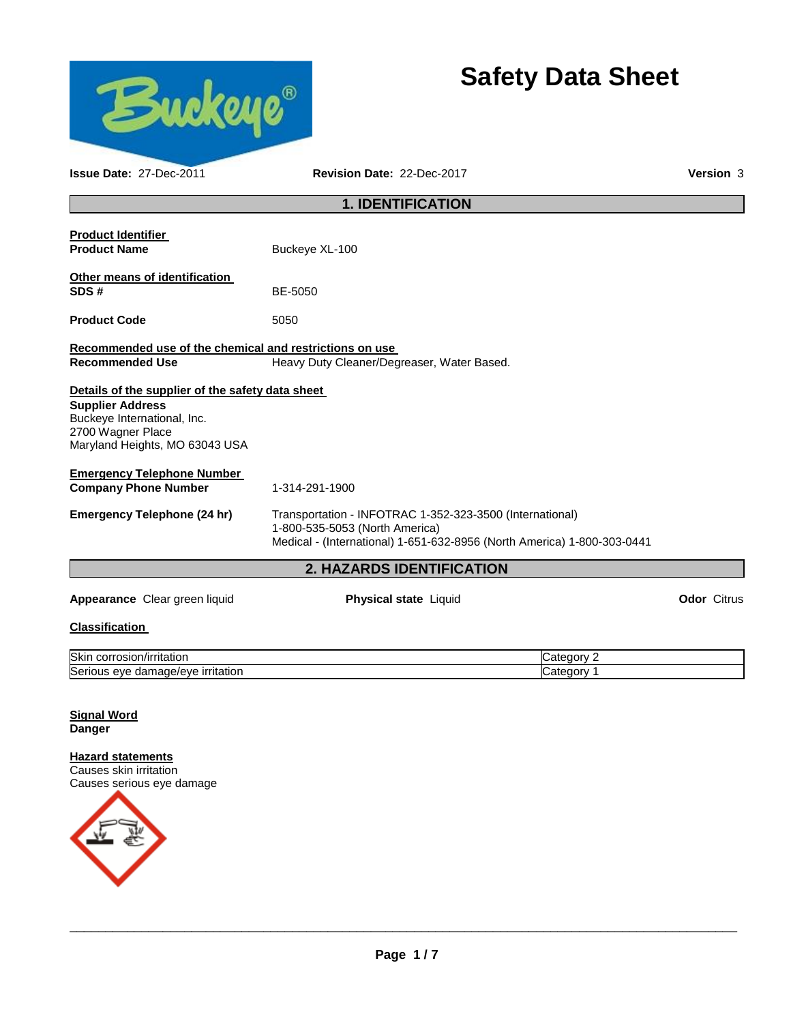

# **Safety Data Sheet**

| <b>Issue Date: 27-Dec-2011</b><br>Revision Date: 22-Dec-2017                                                                                                      |                                                                                                                                                                       |                    |  |  |  |  |  |
|-------------------------------------------------------------------------------------------------------------------------------------------------------------------|-----------------------------------------------------------------------------------------------------------------------------------------------------------------------|--------------------|--|--|--|--|--|
| <b>1. IDENTIFICATION</b>                                                                                                                                          |                                                                                                                                                                       |                    |  |  |  |  |  |
| <b>Product Identifier</b><br><b>Product Name</b>                                                                                                                  | Buckeye XL-100                                                                                                                                                        |                    |  |  |  |  |  |
| Other means of identification<br>SDS#                                                                                                                             | BE-5050                                                                                                                                                               |                    |  |  |  |  |  |
| <b>Product Code</b>                                                                                                                                               | 5050                                                                                                                                                                  |                    |  |  |  |  |  |
| Recommended use of the chemical and restrictions on use<br><b>Recommended Use</b>                                                                                 | Heavy Duty Cleaner/Degreaser, Water Based.                                                                                                                            |                    |  |  |  |  |  |
| Details of the supplier of the safety data sheet<br><b>Supplier Address</b><br>Buckeye International, Inc.<br>2700 Wagner Place<br>Maryland Heights, MO 63043 USA |                                                                                                                                                                       |                    |  |  |  |  |  |
| <b>Emergency Telephone Number</b><br><b>Company Phone Number</b>                                                                                                  | 1-314-291-1900                                                                                                                                                        |                    |  |  |  |  |  |
| <b>Emergency Telephone (24 hr)</b>                                                                                                                                | Transportation - INFOTRAC 1-352-323-3500 (International)<br>1-800-535-5053 (North America)<br>Medical - (International) 1-651-632-8956 (North America) 1-800-303-0441 |                    |  |  |  |  |  |
|                                                                                                                                                                   | <b>2. HAZARDS IDENTIFICATION</b>                                                                                                                                      |                    |  |  |  |  |  |
| Appearance Clear green liquid                                                                                                                                     | Physical state Liquid                                                                                                                                                 | <b>Odor</b> Citrus |  |  |  |  |  |
| <b>Classification</b>                                                                                                                                             |                                                                                                                                                                       |                    |  |  |  |  |  |
| Skin corrosion/irritation                                                                                                                                         | Category 2                                                                                                                                                            |                    |  |  |  |  |  |

# Serious eye damage/eye irritation contract the contract of category 1

#### **Signal Word Danger**

**Hazard statements** Causes skin irritation Causes serious eye damage

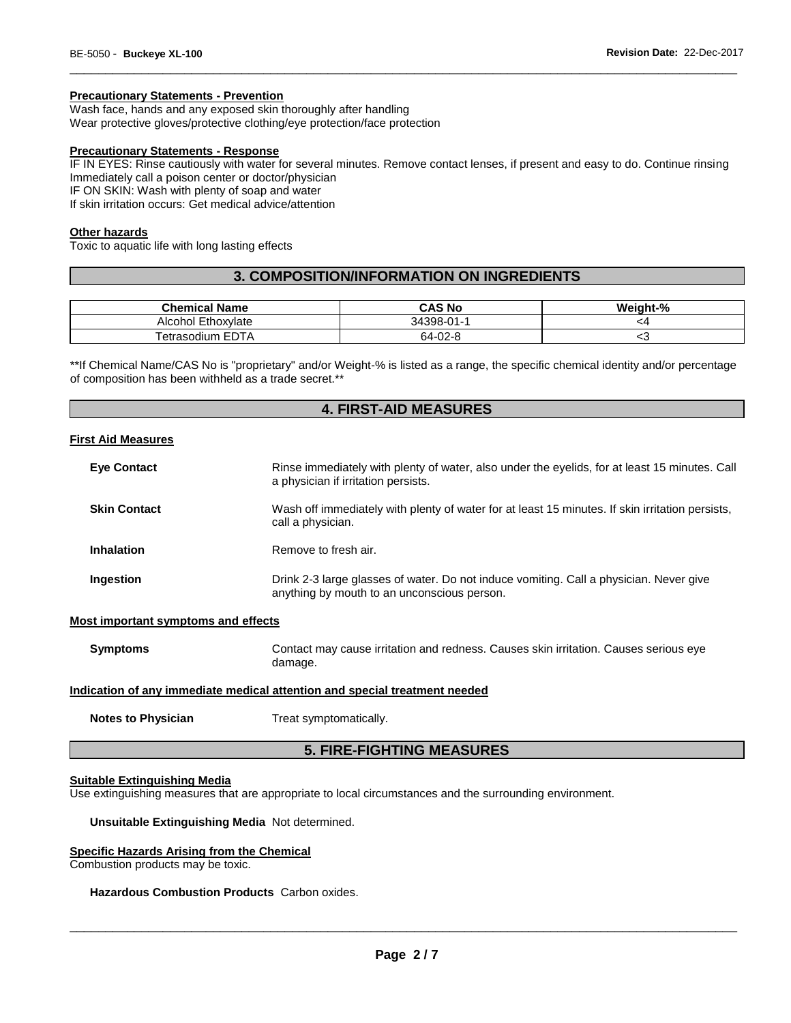#### **Precautionary Statements - Prevention**

Wash face, hands and any exposed skin thoroughly after handling Wear protective gloves/protective clothing/eye protection/face protection

#### **Precautionary Statements - Response**

IF IN EYES: Rinse cautiously with water for several minutes. Remove contact lenses, if present and easy to do. Continue rinsing Immediately call a poison center or doctor/physician

\_\_\_\_\_\_\_\_\_\_\_\_\_\_\_\_\_\_\_\_\_\_\_\_\_\_\_\_\_\_\_\_\_\_\_\_\_\_\_\_\_\_\_\_\_\_\_\_\_\_\_\_\_\_\_\_\_\_\_\_\_\_\_\_\_\_\_\_\_\_\_\_\_\_\_\_\_\_\_\_\_\_\_\_\_\_\_\_\_\_\_\_\_

IF ON SKIN: Wash with plenty of soap and water

If skin irritation occurs: Get medical advice/attention

#### **Other hazards**

Toxic to aquatic life with long lasting effects

## **3. COMPOSITION/INFORMATION ON INGREDIENTS**

| <b>Chemical Name</b> | <b>CAS No</b> | Weight-% |
|----------------------|---------------|----------|
| Alcohol Ethoxylate   | 34398-01-1    | ″4       |
| Tetrasodium EDTA     | 64-02-8       | $\sim$   |

\*\*If Chemical Name/CAS No is "proprietary" and/or Weight-% is listed as a range, the specific chemical identity and/or percentage of composition has been withheld as a trade secret.\*\*

## **4. FIRST-AID MEASURES**

#### **First Aid Measures**

| <b>Eye Contact</b>  | Rinse immediately with plenty of water, also under the eyelids, for at least 15 minutes. Call<br>a physician if irritation persists.  |
|---------------------|---------------------------------------------------------------------------------------------------------------------------------------|
| <b>Skin Contact</b> | Wash off immediately with plenty of water for at least 15 minutes. If skin irritation persists,<br>call a physician.                  |
| <b>Inhalation</b>   | Remove to fresh air.                                                                                                                  |
| Ingestion           | Drink 2-3 large glasses of water. Do not induce vomiting. Call a physician. Never give<br>anything by mouth to an unconscious person. |

#### **Most important symptoms and effects**

**Symptoms Contact may cause irritation and redness. Causes skin irritation. Causes serious eye** damage.

#### **Indication of any immediate medical attention and special treatment needed**

**Notes to Physician Treat symptomatically.** 

## **5. FIRE-FIGHTING MEASURES**

#### **Suitable Extinguishing Media**

Use extinguishing measures that are appropriate to local circumstances and the surrounding environment.

#### **Unsuitable Extinguishing Media** Not determined.

#### **Specific Hazards Arising from the Chemical**

Combustion products may be toxic.

#### **Hazardous Combustion Products** Carbon oxides.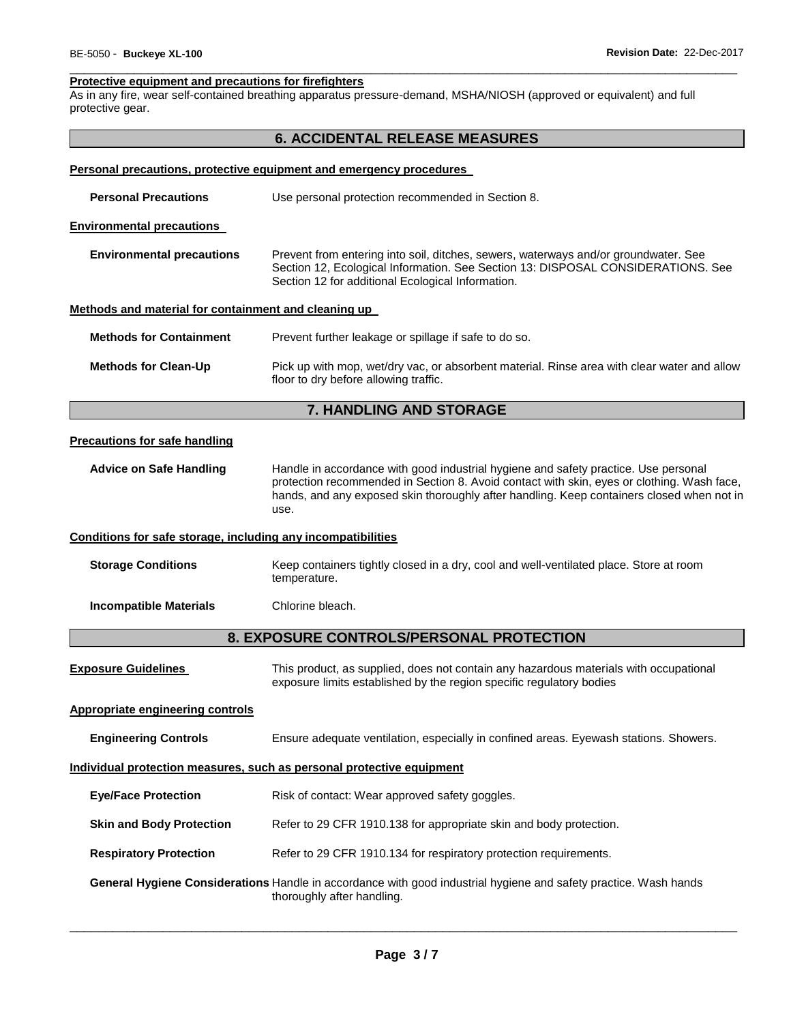#### \_\_\_\_\_\_\_\_\_\_\_\_\_\_\_\_\_\_\_\_\_\_\_\_\_\_\_\_\_\_\_\_\_\_\_\_\_\_\_\_\_\_\_\_\_\_\_\_\_\_\_\_\_\_\_\_\_\_\_\_\_\_\_\_\_\_\_\_\_\_\_\_\_\_\_\_\_\_\_\_\_\_\_\_\_\_\_\_\_\_\_\_\_ **Protective equipment and precautions for firefighters**

As in any fire, wear self-contained breathing apparatus pressure-demand, MSHA/NIOSH (approved or equivalent) and full protective gear.

|                                                              | <b>6. ACCIDENTAL RELEASE MEASURES</b>                                                                                                                                                                                                                                                  |  |  |  |
|--------------------------------------------------------------|----------------------------------------------------------------------------------------------------------------------------------------------------------------------------------------------------------------------------------------------------------------------------------------|--|--|--|
|                                                              | Personal precautions, protective equipment and emergency procedures                                                                                                                                                                                                                    |  |  |  |
| <b>Personal Precautions</b>                                  | Use personal protection recommended in Section 8.                                                                                                                                                                                                                                      |  |  |  |
| <b>Environmental precautions</b>                             |                                                                                                                                                                                                                                                                                        |  |  |  |
| <b>Environmental precautions</b>                             | Prevent from entering into soil, ditches, sewers, waterways and/or groundwater. See<br>Section 12, Ecological Information. See Section 13: DISPOSAL CONSIDERATIONS. See<br>Section 12 for additional Ecological Information.                                                           |  |  |  |
| Methods and material for containment and cleaning up         |                                                                                                                                                                                                                                                                                        |  |  |  |
| <b>Methods for Containment</b>                               | Prevent further leakage or spillage if safe to do so.                                                                                                                                                                                                                                  |  |  |  |
| <b>Methods for Clean-Up</b>                                  | Pick up with mop, wet/dry vac, or absorbent material. Rinse area with clear water and allow<br>floor to dry before allowing traffic.                                                                                                                                                   |  |  |  |
|                                                              | 7. HANDLING AND STORAGE                                                                                                                                                                                                                                                                |  |  |  |
| <b>Precautions for safe handling</b>                         |                                                                                                                                                                                                                                                                                        |  |  |  |
| <b>Advice on Safe Handling</b>                               | Handle in accordance with good industrial hygiene and safety practice. Use personal<br>protection recommended in Section 8. Avoid contact with skin, eyes or clothing. Wash face,<br>hands, and any exposed skin thoroughly after handling. Keep containers closed when not in<br>use. |  |  |  |
| Conditions for safe storage, including any incompatibilities |                                                                                                                                                                                                                                                                                        |  |  |  |
| <b>Storage Conditions</b>                                    | Keep containers tightly closed in a dry, cool and well-ventilated place. Store at room<br>temperature.                                                                                                                                                                                 |  |  |  |
| <b>Incompatible Materials</b>                                | Chlorine bleach.                                                                                                                                                                                                                                                                       |  |  |  |
|                                                              | 8. EXPOSURE CONTROLS/PERSONAL PROTECTION                                                                                                                                                                                                                                               |  |  |  |
| <b>Exposure Guidelines</b>                                   | This product, as supplied, does not contain any hazardous materials with occupational<br>exposure limits established by the region specific regulatory bodies                                                                                                                          |  |  |  |
| <b>Appropriate engineering controls</b>                      |                                                                                                                                                                                                                                                                                        |  |  |  |
| <b>Engineering Controls</b>                                  | Ensure adequate ventilation, especially in confined areas. Eyewash stations. Showers.                                                                                                                                                                                                  |  |  |  |
|                                                              | Individual protection measures, such as personal protective equipment                                                                                                                                                                                                                  |  |  |  |
| <b>Eye/Face Protection</b>                                   | Risk of contact: Wear approved safety goggles.                                                                                                                                                                                                                                         |  |  |  |
| <b>Skin and Body Protection</b>                              | Refer to 29 CFR 1910.138 for appropriate skin and body protection.                                                                                                                                                                                                                     |  |  |  |
| <b>Respiratory Protection</b>                                | Refer to 29 CFR 1910.134 for respiratory protection requirements.                                                                                                                                                                                                                      |  |  |  |
|                                                              | General Hygiene Considerations Handle in accordance with good industrial hygiene and safety practice. Wash hands<br>thoroughly after handling.                                                                                                                                         |  |  |  |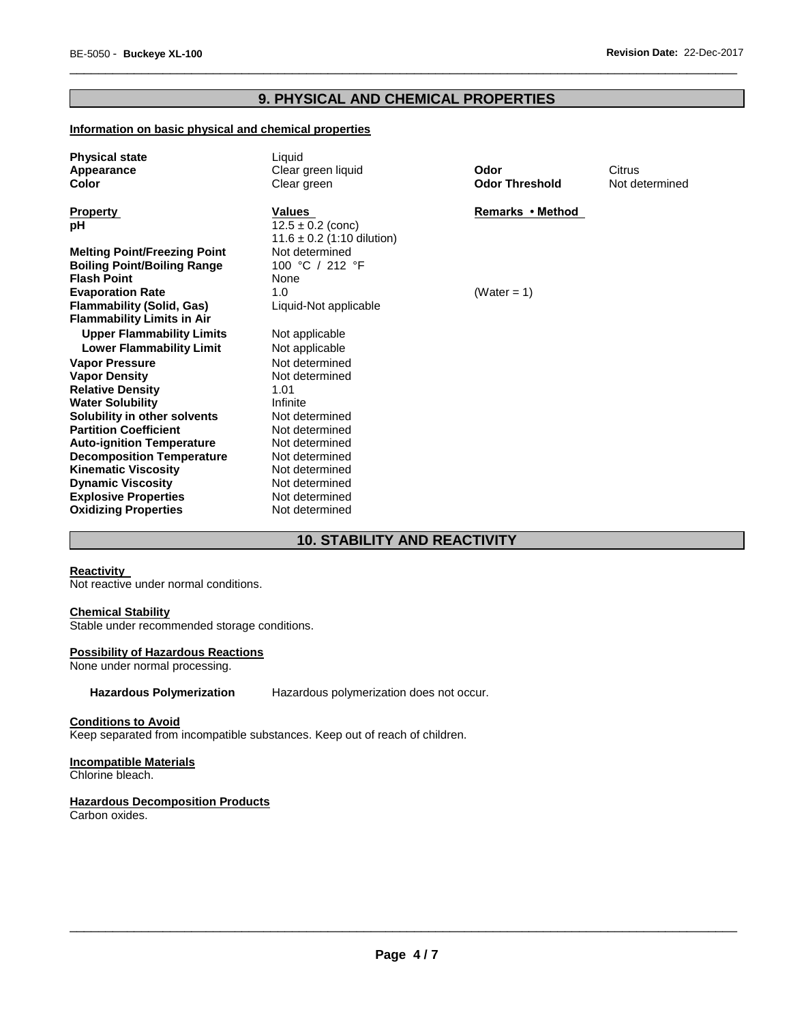## **9. PHYSICAL AND CHEMICAL PROPERTIES**

\_\_\_\_\_\_\_\_\_\_\_\_\_\_\_\_\_\_\_\_\_\_\_\_\_\_\_\_\_\_\_\_\_\_\_\_\_\_\_\_\_\_\_\_\_\_\_\_\_\_\_\_\_\_\_\_\_\_\_\_\_\_\_\_\_\_\_\_\_\_\_\_\_\_\_\_\_\_\_\_\_\_\_\_\_\_\_\_\_\_\_\_\_

## **Information on basic physical and chemical properties**

| <b>Physical state</b><br>Appearance<br>Color | Liquid<br>Clear green liquid<br>Clear green | Odor<br><b>Odor Threshold</b> | Citrus<br>Not determined |
|----------------------------------------------|---------------------------------------------|-------------------------------|--------------------------|
| <b>Property</b><br>рH                        | <b>Values</b><br>$12.5 \pm 0.2$ (conc)      | Remarks • Method              |                          |
|                                              | $11.6 \pm 0.2$ (1:10 dilution)              |                               |                          |
| <b>Melting Point/Freezing Point</b>          | Not determined                              |                               |                          |
| <b>Boiling Point/Boiling Range</b>           | 100 °C / 212 °F                             |                               |                          |
| <b>Flash Point</b>                           | None                                        |                               |                          |
| <b>Evaporation Rate</b>                      | 1.0                                         | (Water = 1)                   |                          |
| <b>Flammability (Solid, Gas)</b>             | Liquid-Not applicable                       |                               |                          |
| <b>Flammability Limits in Air</b>            |                                             |                               |                          |
| <b>Upper Flammability Limits</b>             | Not applicable                              |                               |                          |
| <b>Lower Flammability Limit</b>              | Not applicable                              |                               |                          |
| <b>Vapor Pressure</b>                        | Not determined                              |                               |                          |
| <b>Vapor Density</b>                         | Not determined                              |                               |                          |
| <b>Relative Density</b>                      | 1.01                                        |                               |                          |
| <b>Water Solubility</b>                      | Infinite                                    |                               |                          |
| Solubility in other solvents                 | Not determined                              |                               |                          |
| <b>Partition Coefficient</b>                 | Not determined                              |                               |                          |
| <b>Auto-ignition Temperature</b>             | Not determined                              |                               |                          |
| <b>Decomposition Temperature</b>             | Not determined                              |                               |                          |
| <b>Kinematic Viscosity</b>                   | Not determined                              |                               |                          |
| <b>Dynamic Viscosity</b>                     | Not determined                              |                               |                          |
| <b>Explosive Properties</b>                  | Not determined                              |                               |                          |
| <b>Oxidizing Properties</b>                  | Not determined                              |                               |                          |

## **10. STABILITY AND REACTIVITY**

#### **Reactivity**

Not reactive under normal conditions.

#### **Chemical Stability**

Stable under recommended storage conditions.

#### **Possibility of Hazardous Reactions**

None under normal processing.

#### **Hazardous Polymerization** Hazardous polymerization does not occur.

#### **Conditions to Avoid**

Keep separated from incompatible substances. Keep out of reach of children.

## **Incompatible Materials**

Chlorine bleach.

#### **Hazardous Decomposition Products**

Carbon oxides.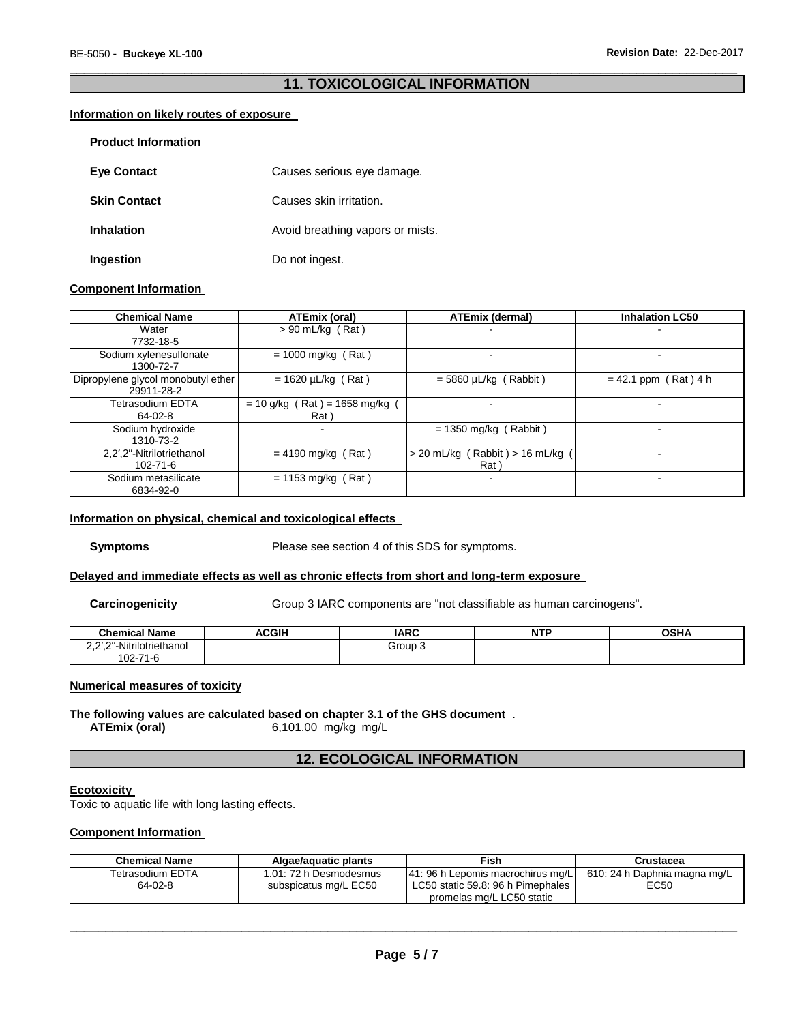#### \_\_\_\_\_\_\_\_\_\_\_\_\_\_\_\_\_\_\_\_\_\_\_\_\_\_\_\_\_\_\_\_\_\_\_\_\_\_\_\_\_\_\_\_\_\_\_\_\_\_\_\_\_\_\_\_\_\_\_\_\_\_\_\_\_\_\_\_\_\_\_\_\_\_\_\_\_\_\_\_\_\_\_\_\_\_\_\_\_\_\_\_\_ **11. TOXICOLOGICAL INFORMATION**

#### **Information on likely routes of exposure**

| <b>Product Information</b> |                                  |
|----------------------------|----------------------------------|
| <b>Eye Contact</b>         | Causes serious eye damage.       |
| <b>Skin Contact</b>        | Causes skin irritation.          |
| <b>Inhalation</b>          | Avoid breathing vapors or mists. |
| Ingestion                  | Do not ingest.                   |

#### **Component Information**

| <b>Chemical Name</b>                             | ATEmix (oral)                          | <b>ATEmix (dermal)</b>                       | <b>Inhalation LC50</b> |  |  |
|--------------------------------------------------|----------------------------------------|----------------------------------------------|------------------------|--|--|
| Water                                            | $> 90$ mL/kg (Rat)                     |                                              |                        |  |  |
| 7732-18-5                                        |                                        |                                              |                        |  |  |
| Sodium xylenesulfonate<br>1300-72-7              | $= 1000$ mg/kg (Rat)                   |                                              |                        |  |  |
| Dipropylene glycol monobutyl ether<br>29911-28-2 | $= 1620 \mu L/kg$ (Rat)                | $=$ 5860 µL/kg (Rabbit)                      | $= 42.1$ ppm (Rat) 4 h |  |  |
| Tetrasodium EDTA<br>64-02-8                      | $= 10$ g/kg (Rat) = 1658 mg/kg<br>Rat) |                                              | -                      |  |  |
| Sodium hydroxide<br>1310-73-2                    |                                        | $= 1350$ mg/kg (Rabbit)                      | -                      |  |  |
| 2.2'.2"-Nitrilotriethanol<br>$102 - 71 - 6$      | $= 4190$ mg/kg (Rat)                   | Rabbit) > 16 mL/kg (<br>> 20 mL/kg (<br>Rat) |                        |  |  |
| Sodium metasilicate<br>6834-92-0                 | $= 1153$ mg/kg (Rat)                   |                                              | -                      |  |  |

#### **Information on physical, chemical and toxicological effects**

**Symptoms** Please see section 4 of this SDS for symptoms.

#### **Delayed and immediate effects as well as chronic effects from short and long-term exposure**

**Carcinogenicity Group 3 IARC components are "not classifiable as human carcinogens".** 

| <b>Chemical Name</b>      | <b>ACGIH</b><br>… | <b>IARC</b>    | . | <b>OCU</b> |
|---------------------------|-------------------|----------------|---|------------|
| 2.2'.2"-Nitrilotriethanol |                   | <b>Group 3</b> |   |            |
| $102 - 71$<br>1-C         |                   |                |   |            |

#### **Numerical measures of toxicity**

**The following values are calculated based on chapter 3.1 of the GHS document** . **ATEmix (oral)** 6,101.00 mg/kg mg/L **ATEmix (oral)** 6,101.00 mg/kg mg/L

## **12. ECOLOGICAL INFORMATION**

#### **Ecotoxicity**

Toxic to aquatic life with long lasting effects.

#### **Component Information**

| <b>Chemical Name</b> | Algae/aquatic plants   | Fish                                                           | Crustacea                    |
|----------------------|------------------------|----------------------------------------------------------------|------------------------------|
| Tetrasodium EDTA     | 1.01: 72 h Desmodesmus | [41: 96 h Lepomis macrochirus mg/L]                            | 610: 24 h Daphnia magna mg/L |
| 64-02-8              | subspicatus mg/L EC50  | LC50 static 59.8: 96 h Pimephales<br>promelas mg/L LC50 static | EC50                         |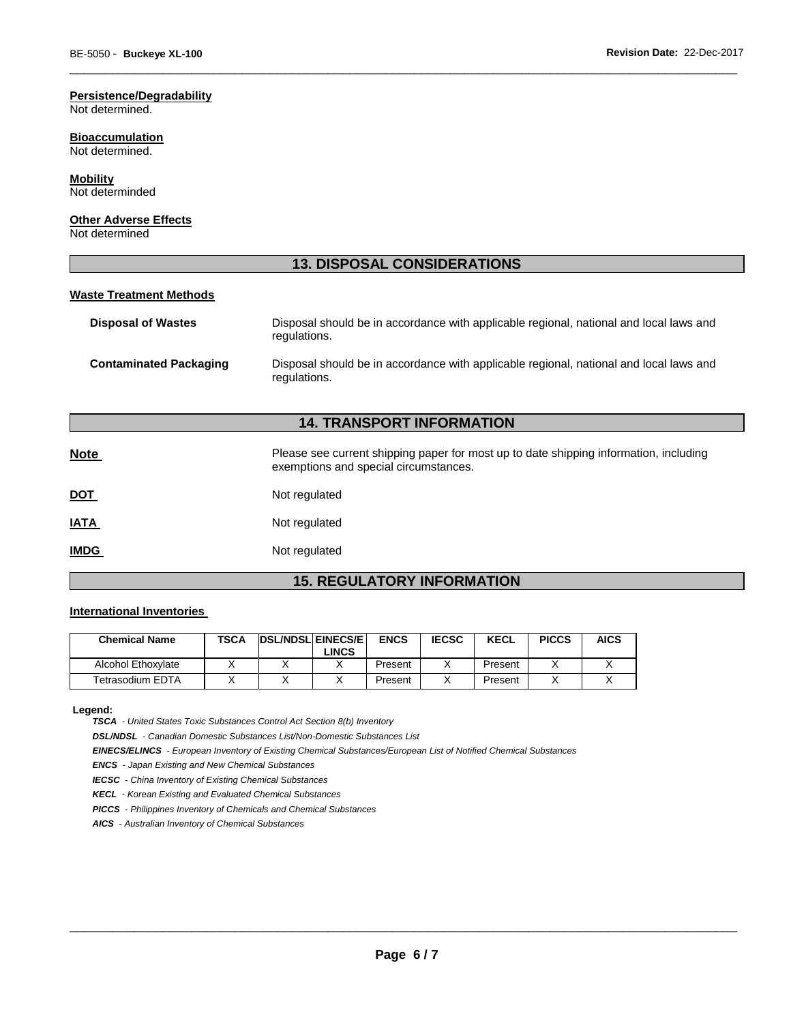## **Persistence/Degradability**

Not determined.

## **Bioaccumulation**

Not determined.

## **Mobility**

Not determinded

#### **Other Adverse Effects**

Not determined

## **13. DISPOSAL CONSIDERATIONS**

\_\_\_\_\_\_\_\_\_\_\_\_\_\_\_\_\_\_\_\_\_\_\_\_\_\_\_\_\_\_\_\_\_\_\_\_\_\_\_\_\_\_\_\_\_\_\_\_\_\_\_\_\_\_\_\_\_\_\_\_\_\_\_\_\_\_\_\_\_\_\_\_\_\_\_\_\_\_\_\_\_\_\_\_\_\_\_\_\_\_\_\_\_

#### **Waste Treatment Methods**

| <b>Disposal of Wastes</b>     | Disposal should be in accordance with applicable regional, national and local laws and<br>regulations. |
|-------------------------------|--------------------------------------------------------------------------------------------------------|
| <b>Contaminated Packaging</b> | Disposal should be in accordance with applicable regional, national and local laws and<br>regulations. |

## **14. TRANSPORT INFORMATION**

| <b>Note</b> | Please see current shipping paper for most up to date shipping information, including<br>exemptions and special circumstances. |
|-------------|--------------------------------------------------------------------------------------------------------------------------------|
| <u>DOT</u>  | Not regulated                                                                                                                  |
| <u>IATA</u> | Not regulated                                                                                                                  |
| <b>IMDG</b> | Not regulated                                                                                                                  |

## **15. REGULATORY INFORMATION**

#### **International Inventories**

| <b>Chemical Name</b> | TSCA | <b>IDSL/NDSLIEINECS/EI</b> | LINCS | <b>ENCS</b> | <b>IECSC</b> | <b>KECL</b> | <b>PICCS</b> | <b>AICS</b> |
|----------------------|------|----------------------------|-------|-------------|--------------|-------------|--------------|-------------|
| Alcohol Ethoxylate   |      |                            |       | Present     |              | Present     |              |             |
| Tetrasodium EDTA     |      |                            |       | Present     |              | Present     |              |             |

**Legend:** 

*TSCA - United States Toxic Substances Control Act Section 8(b) Inventory* 

*DSL/NDSL - Canadian Domestic Substances List/Non-Domestic Substances List* 

*EINECS/ELINCS - European Inventory of Existing Chemical Substances/European List of Notified Chemical Substances* 

*ENCS - Japan Existing and New Chemical Substances* 

*IECSC - China Inventory of Existing Chemical Substances* 

*KECL - Korean Existing and Evaluated Chemical Substances* 

*PICCS - Philippines Inventory of Chemicals and Chemical Substances* 

*AICS - Australian Inventory of Chemical Substances*